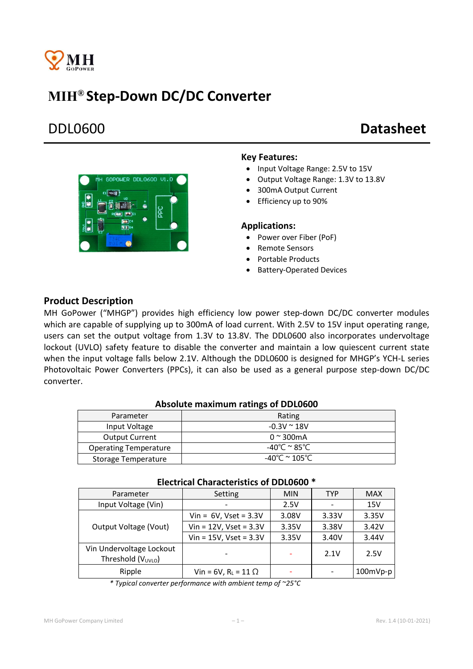

# MIH® Step-Down DC/DC Converter

# DDL0600 Datasheet



## Key Features:

- Input Voltage Range: 2.5V to 15V
- Output Voltage Range: 1.3V to 13.8V
- 300mA Output Current
- Efficiency up to 90%

### Applications:

- Power over Fiber (PoF)
- Remote Sensors
- Portable Products
- Battery-Operated Devices

# Product Description

MH GoPower ("MHGP") provides high efficiency low power step-down DC/DC converter modules which are capable of supplying up to 300mA of load current. With 2.5V to 15V input operating range, users can set the output voltage from 1.3V to 13.8V. The DDL0600 also incorporates undervoltage lockout (UVLO) safety feature to disable the converter and maintain a low quiescent current state when the input voltage falls below 2.1V. Although the DDL0600 is designed for MHGP's YCH-L series Photovoltaic Power Converters (PPCs), it can also be used as a general purpose step-down DC/DC converter.

### Absolute maximum ratings of DDL0600

| Parameter                    | Rating                |  |  |  |
|------------------------------|-----------------------|--|--|--|
| Input Voltage                | $-0.3V \approx 18V$   |  |  |  |
| <b>Output Current</b>        | $0 \approx 300$ mA    |  |  |  |
| <b>Operating Temperature</b> | -40℃ <sup>~</sup> 85℃ |  |  |  |
| Storage Temperature          | -40°C $\simeq$ 105°C. |  |  |  |

| LICULIUMI UNUIUULUI IJULUJ UI DD LUUUU                     |                               |            |            |            |  |
|------------------------------------------------------------|-------------------------------|------------|------------|------------|--|
| Parameter                                                  | Setting                       | <b>MIN</b> | <b>TYP</b> | <b>MAX</b> |  |
| Input Voltage (Vin)                                        |                               | 2.5V       |            | 15V        |  |
| Output Voltage (Vout)                                      | Vin = $6V$ , Vset = $3.3V$    | 3.08V      | 3.33V      | 3.35V      |  |
|                                                            | $Vin = 12V$ , Vset = 3.3V     | 3.35V      | 3.38V      | 3.42V      |  |
|                                                            | $Vin = 15V$ , Vset = 3.3V     | 3.35V      | 3.40V      | 3.44V      |  |
| Vin Undervoltage Lockout<br>Threshold (V <sub>UVLO</sub> ) |                               |            | 2.1V       | 2.5V       |  |
| Ripple                                                     | Vin = 6V, $R_L$ = 11 $\Omega$ |            |            | $100mVp-p$ |  |

## Electrical Characteristics of DDL0600 \*

*\* Typical converter performance with ambient temp of ~25°C*